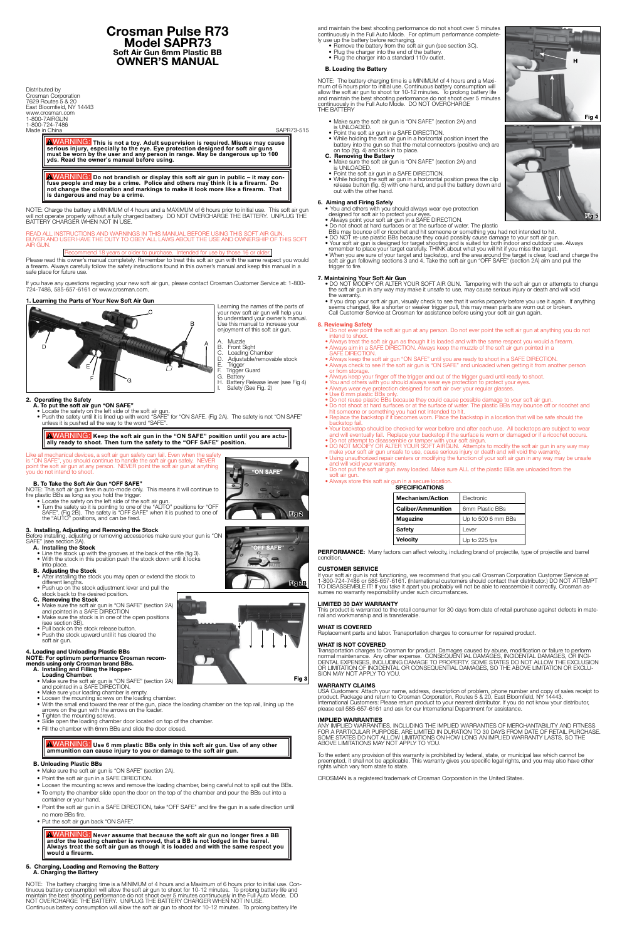## **Crosman Pulse R73 Model SAPR73 Soft Air Gun 6mm Plastic BB OWNER'S MANUAL**

Distributed by Crosman Corporation 7629 Routes 5 & 20 East Bloomfield, NY 14443 www.crosman.com 1-800-7AIRGUN 1-800-724-7486 Made in China SAPR73-515

WARNING: **This is not a toy. Adult supervision is required. Misuse may cause serious injury, especially to the eye. Eye protection designed for soft air guns must be worn by the user and any person in range. May be dangerous up to 100 yds. Read the owner's manual before using.**

WARNING: **Do not brandish or display this soft air gun in public – it may con-fuse people and may be a crime. Police and others may think it is a firearm. Do not change the coloration and markings to make it look more like a firearm. That is dangerous and may be a crime.**

NOTE: Charge the battery a MINIMUM of 4 hours and a MAXIMUM of 6 hours prior to initial use. This soft air gun will not operate properly without a fully charged battery. DO NOT OVERCHARGE THE BATTERY. UNPLUG THE BATTERY CHARGER WHEN NOT IN USE.

> A. Muzzle<br>B. Front S<br>C. Loading B. Front Sight

### READ ALL INSTRUCTIONS AND WARNINGS IN THIS MANUAL BEFORE USING THIS SOFT AIR GUN. BUYER AND USER HAVE THE DUTY TO OBEY ALL LAWS ABOUT THE USE AND OWNERSHIP OF THIS SOFT AIR GUN.

## Recommend 18 years or older to purchase. Intended for use by those 16 or older.

Please read this owner's manual completely. Remember to treat this soft air gun with the same respect you would a firearm. Always carefully follow the safety instructions found in this owner's manual and keep this manual in a safe place for future use.

If you have any questions regarding your new soft air gun, please contact Crosman Customer Service at: 1-800- 724-7486, 585-657-6161 or www.crosman.com.

## **1. Learning the Parts of Your New Soft Air Gun**



Learning the names of the parts of your new soft air gun will help you to understand your owner's manual. Use this manual to increase your enjoyment of this soft air gun.

- C. Loading Chamber
	-
- F. Trigger Guard<br>G. Battery
- G. Battery<br>H. Battery H. Battery Release lever (see Fig 4)
- I. Safety (See Fig. 2)

**2. Operating the Safety**

- **A. To put the soft air gun "ON SAFE"** • Locate the safety on the left side of the soft air gun.
- Push the safety until it is lined up with word "SAFE" for "ON SAFE. (Fig 2A). The safety is not "ON SAFE" unless it is pushed all the way to the word "SAFE".

# WARNING: **Keep the soft air gun in the "ON SAFE" position until you are actu-ally ready to shoot. Then turn the safety to the "OFF SAFE" position.**

### Like all mechanical devices, a soft air gun safety can fail. Even when the safety is "ON SAFE", you should continue to handle the soft air gun safely. NEVER point the soft air gun at any person. NEVER point the soft air gun at anything you do not intend to shoot.

## **B. To Take the Soft Air Gun "OFF SAFE"**

NOTE: This soft air gun fires in auto-mode only. This means it will continue to fire plastic BBs as long as you hold the trigger.

 • Locate the safety on the left side of the soft air gun. • Turn the safety so it is pointing to one of the "AUTO" positions for "OFF SAFE". (Fig 2B). The safety is "OFF SAFE" when it is pushed to one of the "AUTO" positions, and can be fired.

## **3. Installing, Adjusting and Removing the Stock**

Before installing, adjusting or removing accessories make sure your gun is "ON SAFE" (see section 2A).

- **A. Installing the Stock** • Line the stock up with the grooves at the back of the rifle (fig 3). • With the stock in this position push the stock down until it locks
	- into place.

## **B. Adjusting the Stock**

- After installing the stock you may open or extend the stock to different lengths.
- Push up on the stock adjustment lever and pull the stock back to the desired position.
	- **C. Removing the Stock**
- Make sure the soft air gun is "ON SAFE" (section 2A) and pointed in a SAFE DIRECTION
	- Make sure the stock is in one of the open positions (see section 3B). • Pull back on the stock release button.
	- Push the stock upward until it has cleared the soft air gun.

### **4. Loading and Unloading Plastic BBs NOTE: For optimum performance Crosman recommends using only Crosman brand BBs.**

- **A. Installing and Filling the Hopper-**
- **Loading Chamber.**<br>• Make sure the soft air gun is "ON SAFE" (section 2A) and pointed in a SAFE DIRECTION.
	- Make sure your loading chamber is empty
	- Loosen the mounting screws on the loading chamber.
- With the small end toward the rear of the gun, place the loading chamber on the top rail, lining up the arrows on the gun with the arrows on the loader.
	- Tighten the mounting screws.
	- Slide open the loading chamber door located on top of the chamber.
	- Fill the chamber with 6mm BBs and slide the door closed.

WARNING: **Use 6 mm plastic BBs only in this soft air gun. Use of any other ammunition can cause injury to you or damage to the soft air gun.**

## **B. Unloading Plastic BBs**

- Make sure the soft air gun is "ON SAFE" (section 2A).
- Point the soft air gun in a SAFE DIRECTION.
- Loosen the mounting screws and remove the loading chamber, being careful not to spill out the BBs.
- To empty the chamber slide open the door on the top of the chamber and pour the BBs out into a container or your hand.
- Point the soft air gun in a SAFE DIRECTION, take "OFF SAFE" and fire the gun in a safe direction until no more BBs fire.
- Put the soft air gun back "ON SAFE".

WARNING: **Never assume that because the soft air gun no longer fires a BB and/or the loading chamber is removed, that a BB is not lodged in the barrel. Always treat the soft air gun as though it is loaded and with the same respect you would a firearm.**

## **5. Charging, Loading and Removing the Battery A. Charging the Battery**

NOTE: The battery charging time is a MINIMUM of 4 hours and a Maximum of 6 hours prior to initial use. Continuous battery consumption will allow the soft air gun to shoot for 10-12 minutes. To prolong battery life and maintain the best shooting performance do not shoot over 5 minutes continuously in the Full Auto Mode. DO NOT OVERCHARGE THE BATTERY. UNPLUG THE BATTERY CHARGER WHEN NOT IN USE. Continuous battery consumption will allow the soft air gun to shoot for 10-12 minutes. To prolong battery life

and maintain the best shooting performance do not shoot over 5 minutes continuously in the Full Auto Mode. For optimum performance completely use up the battery before recharging.

- Remove the battery from the soft air gun (see section 3C).
	- Plug the charger into the end of the battery.
	- Plug the charger into a standard 110v outlet.

## **B. Loading the Battery**

NOTE: The battery charging time is a MINIMUM of 4 hours and a Maximum of 6 hours prior to initial use. Continuous battery consumption will allow the soft air gun to shoot for 10-12 minutes. To prolong battery life and maintain the best shooting performance do not shoot over 5 minutes continuously in the Full Auto Mode. DO NOT OVERCHARGE THE BATTERY

- Make sure the soft air gun is "ON SAFE" (section 2A) and
- is UNLOADED. • Point the soft air gun in a SAFE DIRECTION.
- While holding the soft air gun in a horizontal position insert the battery into the gun so that the metal connectors (positive end) are on top (fig. 4) and lock in to place.

## **C. Removing the Battery**

- Make sure the soft air gun is "ON SAFE" (section 2A) and is UNLOADED.
	- Point the soft air gun in a SAFE DIRECTION.
- While holding the soft air gun in a horizontal position press the clip release button (fig. 5) with one hand, and pull the battery down and out with the other hand.

## **6. Aiming and Firing Safely**

- You and others with you should always wear eye protection designed for soft air to protect your eyes.
	- Always point your soft air gun in a SAFE DIRECTION.
- Do not shoot at hard surfaces or at the surface of water. The plastic
- BBs may bounce off or ricochet and hit someone or something you had not intended to hit.
- DO NOT re-use plastic BBs because they could possibly cause damage to your soft air gun. • Your soft air gun is designed for target shooting and is suited for both indoor and outdoor use. Always remember to place your target carefully. THINK about what you will hit if you miss the target.
	- When you are sure of your target and backstop, and the area around the target is clear, load and charge the soft air gun following sections 3 and 4. Take the soft air gun "OFF SAFE" (section 2A) aim and pull the trigger to fire.

## **7. Maintaining Your Soft Air Gun**

- DO NOT MODIFY OR ALTER YOUR SOFT AIR GUN. Tampering with the soft air gun or attempts to change the soft air gun in any way may make it unsafe to use, may cause serious injury or death and will void the warranty.
- If you drop your soft air gun, visually check to see that it works properly before you use it again. If anything seems changed, like a shorter or weaker trigger pull, this may mean parts are worn out or broken. Call Customer Service at Crosman for assistance before using your soft air gun again.

## **8. Reviewing Safety**

- Do not ever point the soft air gun at any person. Do not ever point the soft air gun at anything you do not intend to shoot.
- Always treat the soft air gun as though it is loaded and with the same respect you would a firearm. • Always aim in a SAFE DIRECTION. Always keep the muzzle of the soft air gun pointed in a
- SAFE DIRECTION.
- Always keep the soft air gun "ON SAFE" until you are ready to shoot in a SAFE DIRECTION. • Always check to see if the soft air gun is "ON SAFE" and unloaded when getting it from another person or from storage
- Always keep your finger off the trigger and out of the trigger guard until ready to shoot.
- You and others with you should always wear eye protection to protect your eyes.
- Always wear eye protection designed for soft air over your regular glasses.
- Use 6 mm plastic BBs only.
- Do not reuse plastic BBs because they could cause possible damage to your soft air gun. • Do not shoot at hard surfaces or at the surface of water. The plastic BBs may bounce off or ricochet and
- hit someone or something you had not intended to hit.
- Replace the backstop if it becomes worn. Place the backstop in a location that will be safe should the backstop fail.
	- Your backstop should be checked for wear before and after each use. All backstops are subject to wear and will eventually fail. Replace your backstop if the surface is worn or damaged or if a ricochet occurs.
	- Do not attempt to disassemble or tamper with your soft airgun.
- DO NOT MODIFY OR ALTER YOUR SOFT AIRGUN. Attempts to modify the soft air gun in any way may make your soft air gun unsafe to use, cause serious injury or death and will void the warranty.
- Using unauthorized repair centers or modifying the function of your soft air gun in any way may be unsafe and will void your warranty.
- Do not put the soft air gun away loaded. Make sure ALL of the plastic BBs are unloaded from the soft air gun.
	- Always store this soft air gun in a secure location.  **SPECIFICATIONS**

| <b>Mechanism/Action</b>   | Electronic         |
|---------------------------|--------------------|
| <b>Caliber/Ammunition</b> | 6mm Plastic BBs    |
| <b>Magazine</b>           | Up to 500 6 mm BBs |
| <b>Safety</b>             | Lever              |
| Velocity                  | Up to 225 fps      |

**PERFORMANCE:** Many factors can affect velocity, including brand of projectile, type of projectile and barrel condition.

## **CUSTOMER SERVICE**

If your soft air gun is not functioning, we recommend that you call Crosman Corporation Customer Service at 1-800-724-7486 or 585-657-6161. (International customers should contact their distributor.) DO NOT ATTEMPT TO DISASSEMBLE IT! If you take it apart you probably will not be able to reassemble it correctly. Crosman assumes no warranty responsibility under such circumstances.

## **LIMITED 30 DAY WARRANTY**

This product is warranted to the retail consumer for 30 days from date of retail purchase against defects in material and workmanship and is transferable.

## **WHAT IS COVERED**

Replacement parts and labor. Transportation charges to consumer for repaired product.

## **WHAT IS NOT COVERED**

Transportation charges to Crosman for product. Damages caused by abuse, modification or failure to perform normal maintenance. Any other expense. CONSEQUENTIAL DAMAGES, INCIDENTAL DAMAGES, OR INCI-DENTAL EXPENSES, INCLUDING DAMAGE TO PROPERTY. SOME STATES DO NOT ALLOW THE EXCLUSION OR LIMITATION OF INCIDENTAL OR CONSEQUENTIAL DAMAGES, SO THE ABOVE LIMITATION OR EXCLU-SION MAY NOT APPLY TO YOU.







**SAFF"** 

**用g 2B** 

D. Adjustable/removable stock<br>E. Trigger<br>F. Trigger Guard **Trigger** 

## **WARRANTY CLAIMS**

USA Customers: Attach your name, address, description of problem, phone number and copy of sales receipt to product. Package and return to Crosman Corporation, Routes 5 & 20, East Bloomfield, NY 14443. International Customers: Please return product to your nearest distributor. If you do not know your distributor, please call 585-657-6161 and ask for our International Department for assistance.

## **IMPLIED WARRANTIES**

ANY IMPLIED WARRANTIES, INCLUDING THE IMPLIED WARRANTIES OF MERCHANTABILITY AND FITNESS FOR A PARTICULAR PURPOSE, ARE LIMITED IN DURATION TO 30 DAYS FROM DATE OF RETAIL PURCHASE. SOME STATES DO NOT ALLOW LIMITATIONS ON HOW LONG AN IMPLIED WARRANTY LASTS, SO THE ABOVE LIMITATIONS MAY NOT APPLY TO YOU.

To the extent any provision of this warranty is prohibited by federal, state, or municipal law which cannot be preempted, it shall not be applicable. This warranty gives you specific legal rights, and you may also have other rights which vary from state to state.

CROSMAN is a registered trademark of Crosman Corporation in the United States.

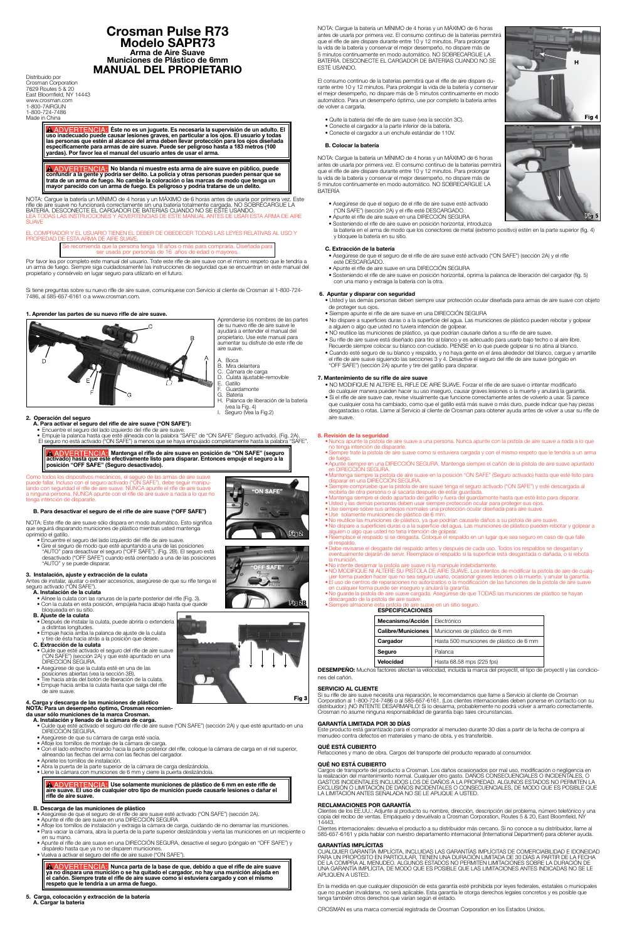## **Crosman Pulse R73 Modelo SAPR73 Arma de Aire Suave Municiones de Plástico de 6mm MANUAL DEL PROPIETARIO**

Distribuido por Crosman Corporation 7629 Routes 5 & 20 East Bloomfield, NY 14443 www.crosman.com 1-800-7AIRGUN 1-800-724-7486 Made in China

> **A ADVERTENCIA:** Éste no es un juguete. Es necesaria la supervisión de un adulto. El **uso inadecuado puede causar lesiones graves, en particular a los ojos. El usuario y todas las personas que estén al alcance del arma deben llevar protección para los ojos diseñada específicamente para armas de aire suave. Puede ser peligroso hasta a 183 metros (100 yardas). Por favor lea el manual del usuario antes de usar el arma.**

**A ADVERTENCIA:** No blanda ni muestre esta arma de aire suave en público, puede **confundir a la gente y podría ser delito. La policía y otras personas pueden pensar que se trata de un arma de fuego. No cambie la coloración o las marcas de modo que tenga un mayor parecido con un arma de fuego. Es peligroso y podría tratarse de un delito.**

NOTA: Cargue la batería un MÍNIMO de 4 horas y un MÁXIMO de 6 horas antes de usarla por primera vez. Este rifle de aire suave no funcionará correctamente sin una batería totalmente cargada. NO SOBRECARGUE LA BATERÍA. DESCONECTE EL CARGADOR DE BATERÍAS CUANDO NO SE ESTÉ USANDO. LEA TODAS LAS INSTRUCCIONES Y ADVERTENCIAS DE ESTE MANUAL ANTES DE USAR ESTA ARMA DE AIRE **SUAVE** 

EL COMPRADOR Y EL USUARIO TIENEN EL DEBER DE OBEDECER TODAS LAS LEYES RELATIVAS AL USO Y PROPIEDAD DE ESTA ARMA DE AIRE SUAVE.

> Se recomienda que la persona tenga 18 años o más para comprarla. Diseñada para ser usada por personas de 16 años de edad o mayores

- A. Boca
- B. Mira delantera<br>C. Cámara de car
- C. Cámara de carga<br>D. Culata aiustable-r D. Culata ajustable-removible<br>E. Gatillo
- E. Gatillo<br>F. Guard
- F. Guardamonte<br>G. Batería
- Batería H. Palanca de liberación de la batería (vea la Fig. 4)<br>I. Seguro (Vea la
- Seguro (Vea la Fig.2)
- **2. Operación del seguro A. Para activar el seguro del rifle de aire suave ("ON SAFE"):**
	-
- Encuentre el seguro del lado izquierdo del rifle de aire suave.<br>• Empuje la palanca hasta que esté alineada con la palabra "SAFE" de "ON SAFE" (Seguro activado). (Fig. 2A).<br>El seguro no está activado ("ON SAFE") a menos

## **A ADVERTENCIA: Mantenga el rifle de aire suave en posición de "ON SAFE" (seguro activado) hasta que esté efectivamente listo para disparar. Entonces empuje el seguro a la posición "OFF SAFE" (Seguro desactivado).**

Como todos los dispositivos mecánicos, el seguro de las armas de aire suave<br>puede fallar. Incluso con el seguro activado ("ON SAFE"), debe seguir manipu-<br>lando con seguridad el rifle de aire suave. NUNCA apunte el rifle de tenga intención de dispararle.

Por favor lea por completo este manual del usuario. Trate este rifle de aire suave con el mismo respeto que le tendría a un arma de fuego. Siempre siga cuidadosamente las instrucciones de seguridad que se encuentran en este manual del propietario y consérvelo en lugar seguro para utilizarlo en el futuro.

Si tiene preguntas sobre su nuevo rifle de aire suave, comuníquese con Servicio al cliente de Crosman al 1-800-724- 7486, al 585-657-6161 o a www.crosman.com.

## **1. Aprender las partes de su nuevo rifle de aire suave.**



Aprenderse los nombres de las partes de su nuevo rifle de aire suave le ayudará a entender el manual del propietario. Use este manual para aumentar su disfrute de este rifle de aire suave.

**ERTENCIA: Use solamente municiones de plástico de 6 mm en este rifle de aire suave. El uso de cualquier otro tipo de munición puede causarle lesiones o dañar el rifle de aire suave.**

## **B. Para desactivar el seguro de el rifle de aire suave ("OFF SAFE")**

NOTA: Este rifle de aire suave sólo dispara en modo automático. Esto significa que seguirá disparando municiones de plástico mientras usted mantenga oprimido el gatillo.

- Encuentre el seguro del lado izquierdo del rifle de aire suave.
- Gire el seguro de modo que esté apuntando a una de las posiciones "AUTO" para desactivar el seguro ("OFF SAFE"). (Fig. 2B). El seguro está desactivado ("OFF SAFE") cuando está orientado a una de las posiciones "AUTO" y se puede disparar.

## **3. Instalación, ajuste y extracción de la culata**

Antes de instalar, ajustar o extraer accesorios, asegúrese de que su rifle tenga el seguro activado ("ON SAFE").

- **A. Instalación de la culata**
	- Alinee la culata con las ranuras de la parte posterior del rifle (Fig. 3). • Con la culata en esta posición, empújela hacia abajo hasta que quede bloqueada en su sitio.
- **B. Ajuste de la culata**
- Después de instalar la culata, puede abrirla o extenderla
- a distintas longitudes. • Empuje hacia arriba la palanca de ajuste de la culata y tire de ésta hacia atrás a la posición que desee.
- **C. Extracción de la culata**
- Cuide que esté activado el seguro del rifle de aire suave
- ("ON SAFE") (sección 2A) y que esté apuntado en una DIRECCIÓN SEGURA.
- Asegúrese de que la culata esté en una de las
- posiciones abiertas (vea la sección 3B). Tire hacia atrás del botón de liberación de la culata.
	- Empuje hacia arriba la culata hasta que salga del rifle de aire suave.

### **4. Carga y descarga de las municiones de plástico NOTA: Para un desempeño óptimo, Crosman recomienda usar sólo municiones de la marca Crosman.**

- **A. Instalación y llenado de la cámara de carga.**
- Cuide que esté activado el seguro del rifle de aire suave ("ON SAFE") (sección 2A) y que esté apuntado en una DIRECCIÓN SEGURA.
	- Asegúrese de que su cámara de carga esté vacía.
	- Afloje los tornillos de montaje de la cámara de carga.
	- Con el lado estrecho mirando hacia la parte posterior del rifle, coloque la cámara de carga en el riel superior, alineando las flechas del arma con las flechas del cargador.
	- Apriete los tornillos de instalación.
	- Abra la puerta de la parte superior de la cámara de carga deslizándola.
	- Llene la cámara con municiones de 6 mm y cierre la puerta deslizándola.

## **B. Descarga de las municiones de plástico**

- Asegúrese de que el seguro de el rifle de aire suave esté activado ("ON SAFE") (sección 2A).
- Apunte el rifle de aire suave en una DIRECCIÓN SEGURA
- Afloje los tornillos de instalación y extraiga la cámara de carga, cuidando de no derramar las municiones.<br>• Para vaciar la cámara, abra la puerta de la parte superior deslizándola y vierta las municiones en un recipient
	- en su mano.
- Apunte el rifle de aire suave en una DIRECCIÓN SEGURA, desactive el seguro (póngalo en "OFF SAFE") y dispárelo hasta que ya no se disparen municiones.
	- Vuelva a activar el seguro del rifle de aire suave ("ON SAFE").

 **Nunca parta de la base de que, debido a que el rifle de aire suave ya no dispara una munición o se ha quitado el cargador, no hay una munición alojada en el cañón. Siempre trate el rifle de aire suave como si estuviera cargado y con el mismo respeto que le tendría a un arma de fuego.**

- **5. Carga, colocación y extracción de la batería**
- **A. Cargar la batería**



NOTA: Cargue la batería un MÍNIMO de 4 horas y un MÁXIMO de 6 horas antes de usarla por primera vez. El consumo continuo de la baterías permitirá que el rifle de aire dispare durante entre 10 y 12 minutos. Para prolongar la vida de la batería y conservar el mejor desempeño, no dispare más de 5 minutos continuamente en modo automático. NO SOBRECARGUE LA BATERÍA. DESCONECTE EL CARGADOR DE BATERÍAS CUANDO NO SE ESTÉ USANDO.

El consumo continuo de la baterías permitirá que el rifle de aire dispare durante entre 10 y 12 minutos. Para prolongar la vida de la batería y conservar el mejor desempeño, no dispare más de 5 minutos continuamente en modo automático. Para un desempeño óptimo, use por completo la batería antes de volver a cargarla.

**GARANTÍAS IMPLÍCITAS**<br>CUALQUIER GARANTÍA IMPLÍCITA, INCLUIDAS LAS GARANTÍAS IMPLÍCITAS DE COMERCIABILIDAD E IDONEIDAD <sub>-</sub> PARA UN PROPÓSITO EN PARTICULAR, TIENEN UNA DURACIÓN LIMITADA DE 30 DÍAS A PARTIR DE LA FECHA DE LA COMPRA AL MENUDEO. ALGUNOS ESTADOS NO PERMITEN LIMITACIONES SOBRE LA DURACIÓN DE UNA GARANTÍA IMPLÍCITA, DE MODO QUE ES POSIBLE QUE LAS LIMITACIONES ANTES INDICADAS NO SE LE APLIQUEN A USTED.

- Quite la batería del rifle de aire suave (vea la sección 3C).
- Conecte el cargador a la parte inferior de la batería.
- Conecte el cargador a un enchufe estándar de 110V.

## **B. Colocar la batería**

NOTA: Cargue la batería un MÍNIMO de 4 horas y un MÁXIMO de 6 horas antes de usarla por primera vez. El consumo continuo de la baterías permitirá que el rifle de aire dispare durante entre 10 y 12 minutos. Para prolongar la vida de la batería y conservar el mejor desempeño, no dispare más de 5 minutos continuamente en modo automático. NO SOBRECARGUE LA BATERÍA

- Asegúrese de que el seguro de el rifle de aire suave esté activado ("ON SAFE") (sección 2A) y el rifle esté DESCARGADO.
- Apunte el rifle de aire suave en una DIRECCIÓN SEGURA
- Sosteniendo el rifle de aire suave en posición horizontal, introduzca la batería en el arma de modo que los conectores de metal (extremo positivo) estén en la parte superior (fig. 4) y bloquee la batería en su sitio.

## **C. Extracción de la batería**

- Asegúrese de que el seguro de el rifle de aire suave esté activado ("ON SAFE") (sección 2A) y el rifle esté DESCARGADO.
- Apunte el rifle de aire suave en una DIRECCIÓN SEGURA
- Sosteniendo el rifle de aire suave en posición horizontal, oprima la palanca de liberación del cargador (fig. 5) con una mano y extraiga la batería con la otra.

## **6. Apuntar y disparar con seguridad**

- Usted y las demás personas deben siempre usar protección ocular diseñada para armas de aire suave con objeto de proteger sus ojos.
- Siempre apunte el rifle de aire suave en una DIRECCIÓN SEGURA
- No dispare a superficies duras o a la superficie del agua. Las municiones de plástico pueden rebotar y golpear a alguien o algo que usted no tuviera intención de golpear.
- NO reutilice las municiones de plástico, ya que podrían causarle daños a su rifle de aire suave.
- Su rifle de aire suave está diseñado para tiro al blanco y es adecuado para usarlo bajo techo o al aire libre. Recuerde siempre colocar su blanco con cuidado. PIENSE en lo que puede golpear si no atina al blanco.
- Cuando esté seguro de su blanco y respaldo, y no haya gente en el área alrededor del blanco, cargue y amartille el rifle de aire suave siguiendo las secciones 3 y 4. Desactive el seguro del rifle de aire suave (póngalo en "OFF SAFE") (sección 2A) apunte y tire del gatillo para disparar.

## **7. Mantenimiento de su rifle de aire suave**

- NO MODIFIQUE NI ALTERE EL RIFLE DE AIRE SUAVE. Forzar el rifle de aire suave o intentar modificarlo de cualquier manera pueden hacer su uso inseguro, causar graves lesiones o la muerte y anulará la garantía.
- Si el rifle de aire suave cae, revise visualmente que funcione correctamente antes de volverlo a usar. Si parece que cualquier cosa ha cambiado, como que el gatillo está más suave o más duro, puede indicar que hay piezas desgastadas o rotas. Llame al Servicio al cliente de Crosman para obtener ayuda antes de volver a usar su rifle de aire suave.

## **8. Revisión de la seguridad**

- Nunca apunte la pistola de aire suave a una persona. Nunca apunte con la pistola de aire suave a nada a lo que no tenga intención de dispararle.
- •Siempre trate la pistola de aire suave como si estuviera cargada y con el mismo respeto que le tendría a un arma de fuego.
- •Apunte siempre en una DIRECCIÓN SEGURA. Mantenga siempre el cañón de la pistola de aire suave apuntado en DIRECCIÓN SEGURA. • Mantenga siempre la pistola de aire suave en la posición "ON SAFE" (Seguro activado) hasta que esté listo para
- disparar en una DIRECCIÓN SEGURA.
- Siempre compruebe que la pistola de aire suave tenga el seguro activado ("ON SAFE") y esté descargada al<br>recibirla de otra persona o al sacarla después de estar guardada.<br>• Mantenga siempre el dedo apartado del gatillo y
- •Usted y las demás personas deben usar siempre protección ocular para proteger sus ojos.
- •Use siempre sobre sus anteojos normales una protección ocular diseñada para aire suave.
- 
- •Use solamente municiones de plástico de 6 mm. No reutilice las municiones de plástico, ya que podrían causarle daños a su pistola de aire suave.
- No dispare a superficies duras o a la superficie del agua. Las municiones de plástico pueden rebotar y golpear a<br>alguien o algo que usted no tena intención de golpear.<br>• Reemplace el respaldo si se desgasta. Coloque el r el respaldo.
- •Debe revisarse el desgaste del respaldo antes y después de cada uso. Todos los respaldos se desgastan y eventualmente dejarán de servir. Reemplace el respaldo si la superficie está desgastada o dañada, o si rebota la munición.
- 
- No intente desarmar la pistola aire suave ni la manipule indebidamente.<br>• NO MODIFIQUE NI ALTERE SU PISTOLA DE AIRE SUAVE. Los intentos de modificar la pistola de aire de cualq-<br>uier forma pueden hacer que no sea seguro
- •El uso de centros de reparaciones no autorizados o la modificación de las funciones de la pistola de aire suave en cualquier forma puede ser inseguro y anulará la garantía.
- No guarde la pistola de aire suave cargada. Asegúrese de que TODAS las municiones de plástico se hayan descargado de la pistola de aire suave. •Siempre almacene esta pistola de aire suave en un sitio seguro.
- **ESPECIFICACIONES**

| ESPECIFICACIONES          |                                          |
|---------------------------|------------------------------------------|
| Mecanismo/Acción          | Electrónico                              |
| <b>Calibre/Municiones</b> | Municiones de plástico de 6 mm           |
| Cargador                  | Hasta 500 municiones de plástico de 6 mm |
| Seguro                    | Palanca                                  |
| Velocidad                 | Hasta 68.58 mps (225 fps)                |



**SAFE**"

Fig 2B







**DESEMPEÑO:** Muchos factores afectan la velocidad, incluida la marca del proyectil, el tipo de proyectil y las condiciones del cañón.

## **SERVICIO AL CLIENTE**

Si su rifle de aire suave necesita una reparación, le recomendamos que llame a Servicio al cliente de Crosman Corporation al 1-800-724-7486 o al 585-657-6161. (Los clientes internacionales deben ponerse en contacto con su distribuidor.) ¡NO INTENTE DESARMARLO! Si lo desarma, probablemente no podrá volver a armarlo correctamente. Crosman no asume ninguna responsabilidad de garantía bajo tales circunstancias.

## **GARANTÍA LIMITADA POR 30 DÍAS**

Este producto está garantizado para el comprador al menudeo durante 30 días a partir de la fecha de compra al menudeo contra defectos en materiales y mano de obra, y es transferible.

## **QUÉ ESTÁ CUBIERTO**

Refacciones y mano de obra. Cargos del transporte del producto reparado al consumidor.

## **QUÉ NO ESTÁ CUBIERTO**

Cargos de transporte del producto a Crosman. Los daños ocasionados por mal uso, modificación o negligencia en la realización del mantenimiento normal. Cualquier otro gasto. DAÑOS CONSECUENCIALES O INCIDENTALES, O GASTOS INCIDENTALES INCLUIDOS LOS DE DAÑOS A LA PROPIEDAD. ALGUNOS ESTADOS NO PERMITEN LA EXCLUSIÓN O LIMITACIÓN DE DAÑOS INCIDENTALES O CONSECUENCIALES, DE MODO QUE ES POSIBLE QUE LA LIMITACIÓN ANTES SEÑALADA NO SE LE APLIQUE A USTED.

## **RECLAMACIONES POR GARANTÍA**

Clientes de los EE.UU.: Adjunte al producto su nombre, dirección, descripción del problema, número telefónico y una copia del recibo de ventas. Empáquelo y devuélvalo a Crosman Corporation, Routes 5 & 20, East Bloomfield, NY 14443.

Clientes internacionales: devuelva el producto a su distribuidor más cercano. Si no conoce a su distribuidor, llame al 585-657-6161 y pida hablar con nuestro departamento internacional (International Department) para obtener ayuda.

En la medida en que cualquier disposición de esta garantía esté prohibida por leyes federales, estatales o municipales que no puedan invalidarse, no será aplicable. Esta garantía le otorga derechos legales concretos y es posible que tenga también otros derechos que varían según el estado.

CROSMAN es una marca comercial registrada de Crosman Corporation en los Estados Unidos.